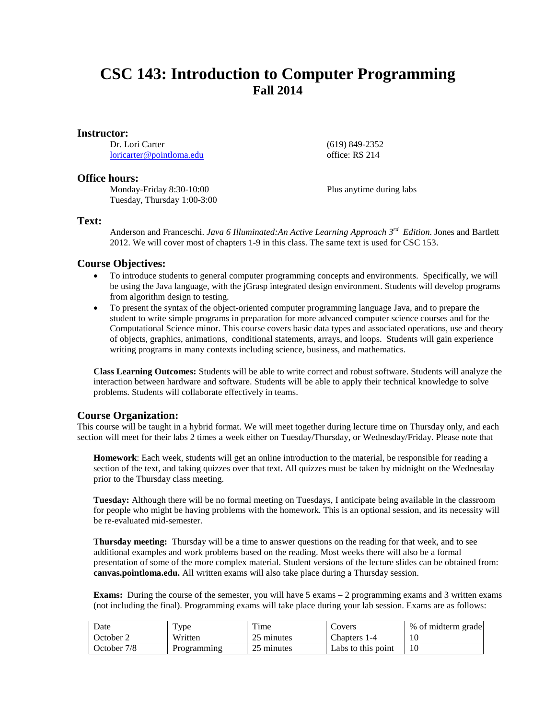# **CSC 143: Introduction to Computer Programming Fall 2014**

#### **Instructor:**

Dr. Lori Carter [loricarter@pointloma.edu](mailto:loricarter@pointloma.edu)

## **Office hours:**

Monday-Friday 8:30-10:00 Tuesday, Thursday 1:00-3:00 (619) 849-2352 office: RS 214

Plus anytime during labs

### **Text:**

Anderson and Franceschi. *Java 6 Illuminated:An Active Learning Approach 3rd Edition.* Jones and Bartlett 2012. We will cover most of chapters 1-9 in this class. The same text is used for CSC 153.

# **Course Objectives:**

- To introduce students to general computer programming concepts and environments. Specifically, we will be using the Java language, with the jGrasp integrated design environment. Students will develop programs from algorithm design to testing.
- To present the syntax of the object-oriented computer programming language Java, and to prepare the student to write simple programs in preparation for more advanced computer science courses and for the Computational Science minor. This course covers basic data types and associated operations, use and theory of objects, graphics, animations, conditional statements, arrays, and loops. Students will gain experience writing programs in many contexts including science, business, and mathematics.

**Class Learning Outcomes:** Students will be able to write correct and robust software. Students will analyze the interaction between hardware and software. Students will be able to apply their technical knowledge to solve problems. Students will collaborate effectively in teams.

# **Course Organization:**

This course will be taught in a hybrid format. We will meet together during lecture time on Thursday only, and each section will meet for their labs 2 times a week either on Tuesday/Thursday, or Wednesday/Friday. Please note that

**Homework**: Each week, students will get an online introduction to the material, be responsible for reading a section of the text, and taking quizzes over that text. All quizzes must be taken by midnight on the Wednesday prior to the Thursday class meeting.

**Tuesday:** Although there will be no formal meeting on Tuesdays, I anticipate being available in the classroom for people who might be having problems with the homework. This is an optional session, and its necessity will be re-evaluated mid-semester.

**Thursday meeting:** Thursday will be a time to answer questions on the reading for that week, and to see additional examples and work problems based on the reading. Most weeks there will also be a formal presentation of some of the more complex material. Student versions of the lecture slides can be obtained from: **canvas.pointloma.edu.** All written exams will also take place during a Thursday session.

**Exams:** During the course of the semester, you will have 5 exams – 2 programming exams and 3 written exams (not including the final). Programming exams will take place during your lab session. Exams are as follows:

| Date        | $TV$ pe            | Time       | Covers             | % of midterm grade |
|-------------|--------------------|------------|--------------------|--------------------|
| October 2   | Written            | 25 minutes | Chapters 1-4       |                    |
| October 7/8 | <b>Programming</b> | 25 minutes | Labs to this point |                    |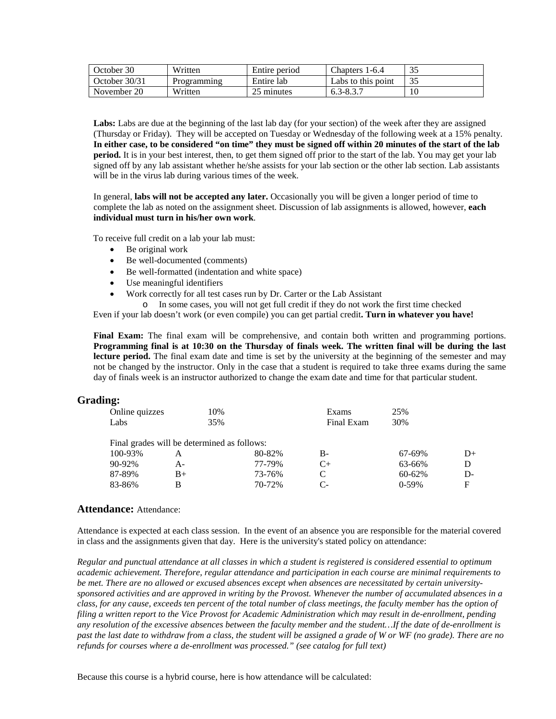| October 30    | Written     | Entire period | Chapters 1-6.4     | 35 |
|---------------|-------------|---------------|--------------------|----|
| October 30/31 | Programming | Entire lab    | Labs to this point | 35 |
| November 20   | Written     | 25 minutes    | 6.3-8.3.7          | 10 |

Labs: Labs are due at the beginning of the last lab day (for your section) of the week after they are assigned (Thursday or Friday). They will be accepted on Tuesday or Wednesday of the following week at a 15% penalty. **In either case, to be considered "on time" they must be signed off within 20 minutes of the start of the lab period.** It is in your best interest, then, to get them signed off prior to the start of the lab. You may get your lab signed off by any lab assistant whether he/she assists for your lab section or the other lab section. Lab assistants will be in the virus lab during various times of the week.

In general, **labs will not be accepted any later.** Occasionally you will be given a longer period of time to complete the lab as noted on the assignment sheet. Discussion of lab assignments is allowed, however, **each individual must turn in his/her own work**.

To receive full credit on a lab your lab must:

- Be original work
- Be well-documented (comments)
- Be well-formatted (indentation and white space)
- Use meaningful identifiers
	- Work correctly for all test cases run by Dr. Carter or the Lab Assistant
		- o In some cases, you will not get full credit if they do not work the first time checked

Even if your lab doesn't work (or even compile) you can get partial credit**. Turn in whatever you have!**

**Final Exam:** The final exam will be comprehensive, and contain both written and programming portions. **Programming final is at 10:30 on the Thursday of finals week. The written final will be during the last**  lecture period. The final exam date and time is set by the university at the beginning of the semester and may not be changed by the instructor. Only in the case that a student is required to take three exams during the same day of finals week is an instructor authorized to change the exam date and time for that particular student.

## **Grading:**

| Online quizzes                              | 10%  |        | Exams      | 25%         |      |
|---------------------------------------------|------|--------|------------|-------------|------|
| Labs                                        | 35%  |        | Final Exam | 30%         |      |
|                                             |      |        |            |             |      |
| Final grades will be determined as follows: |      |        |            |             |      |
| 100-93%                                     | А    | 80-82% | B-         | 67-69%      | $D+$ |
| 90-92%                                      | А-   | 77-79% | $C+$       | 63-66%      |      |
| 87-89%                                      | $B+$ | 73-76% | C          | $60 - 62\%$ | D-   |
| 83-86%                                      | В    | 70-72% | C-         | $0-59%$     | F    |

## **Attendance:** Attendance:

Attendance is expected at each class session. In the event of an absence you are responsible for the material covered in class and the assignments given that day. Here is the university's stated policy on attendance:

*Regular and punctual attendance at all classes in which a student is registered is considered essential to optimum academic achievement. Therefore, regular attendance and participation in each course are minimal requirements to be met. There are no allowed or excused absences except when absences are necessitated by certain universitysponsored activities and are approved in writing by the Provost. Whenever the number of accumulated absences in a class, for any cause, exceeds ten percent of the total number of class meetings, the faculty member has the option of filing a written report to the Vice Provost for Academic Administration which may result in de-enrollment, pending any resolution of the excessive absences between the faculty member and the student…If the date of de-enrollment is past the last date to withdraw from a class, the student will be assigned a grade of W or WF (no grade). There are no refunds for courses where a de-enrollment was processed." (see catalog for full text)*